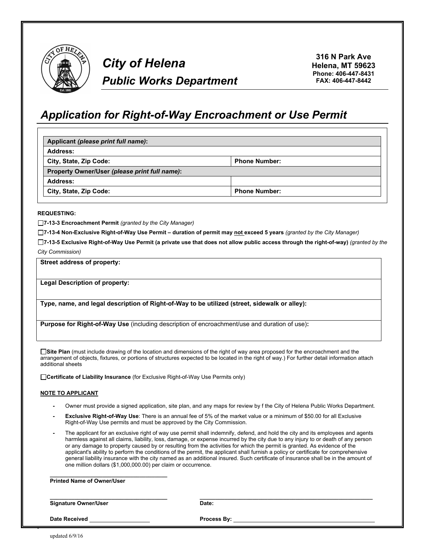

# *City of Helena Public Works Department*

**316 N Park Ave Helena, MT 59623 Phone: 406-447-8431 FAX: 406-447-8442**

# *Application for Right-of-Way Encroachment or Use Permit*

| Applicant (please print full name):           |                      |  |
|-----------------------------------------------|----------------------|--|
| <b>Address:</b>                               |                      |  |
| City, State, Zip Code:                        | <b>Phone Number:</b> |  |
| Property Owner/User (please print full name): |                      |  |
| Address:                                      |                      |  |
| City, State, Zip Code:                        | <b>Phone Number:</b> |  |

#### **REQUESTING:**

**7-13-3 Encroachment Permit** *(granted by the City Manager)*

**7-13-4 Non-Exclusive Right-of-Way Use Permit – duration of permit may not exceed 5 years** *(granted by the City Manager)*

**7-13-5 Exclusive Right-of-Way Use Permit (a private use that does not allow public access through the right-of-way)** *(granted by the City Commission)*

**Street address of property:**

**Legal Description of property:**

**Type, name, and legal description of Right-of-Way to be utilized (street, sidewalk or alley):**

**Purpose for Right-of-Way Use** (including description of encroachment/use and duration of use)**:**

**Site Plan** (must include drawing of the location and dimensions of the right of way area proposed for the encroachment and the arrangement of objects, fixtures, or portions of structures expected to be located in the right of way.) For further detail information attach additional sheets

**Certificate of Liability Insurance** (for Exclusive Right-of-Way Use Permits only)

#### **NOTE TO APPLICANT**

- **-** Owner must provide a signed application, site plan, and any maps for review by f the City of Helena Public Works Department.
- **Exclusive Right-of-Way Use**: There is an annual fee of 5% of the market value or a minimum of \$50.00 for all Exclusive Right-of-Way Use permits and must be approved by the City Commission.
- **-** The applicant for an exclusive right of way use permit shall indemnify, defend, and hold the city and its employees and agents harmless against all claims, liability, loss, damage, or expense incurred by the city due to any injury to or death of any person or any damage to property caused by or resulting from the activities for which the permit is granted. As evidence of the applicant's ability to perform the conditions of the permit, the applicant shall furnish a policy or certificate for comprehensive general liability insurance with the city named as an additional insured. Such certificate of insurance shall be in the amount of one million dollars (\$1,000,000.00) per claim or occurrence.

| one million dollars (\$1,000,000.00) per claim or occurrence. |                                                                                                                                                                                                                                |  |
|---------------------------------------------------------------|--------------------------------------------------------------------------------------------------------------------------------------------------------------------------------------------------------------------------------|--|
| <b>Printed Name of Owner/User</b>                             |                                                                                                                                                                                                                                |  |
| <b>Signature Owner/User</b>                                   | Date:                                                                                                                                                                                                                          |  |
| <b>Date Received</b>                                          | Process By: the contract of the contract of the contract of the contract of the contract of the contract of the contract of the contract of the contract of the contract of the contract of the contract of the contract of th |  |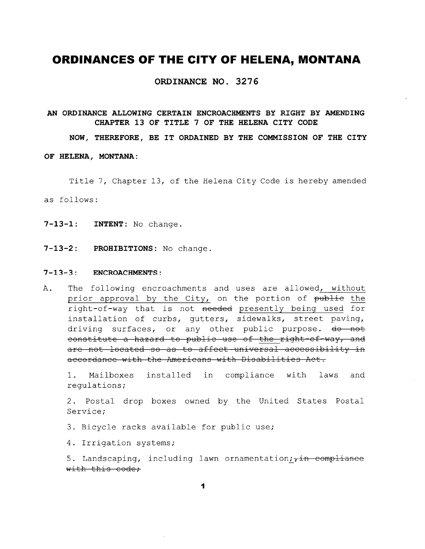ORDINANCE NO. 3276

### AN ORDINANCE ALLOWING CERTAIN ENCROACHMENTS BY RIGHT BY AMENDING CHAPTER 13 OF TITLE 7 OF THE HELENA CITY CODE

#### NOW, THEREFORE, BE IT ORDAINED BY THE COMMISSION OF THE CITY

#### OF HELENA, MONTANA:

Title 7, Chapter 13, of the Helena City Code is hereby amended as follows:

- 7-13-1: INTENT: No change.
- $7 13 2:$ PROHIBITIONS: No change.

#### $7 - 13 - 3:$ **ENCROACHMENTS:**

 $A$ . The following encroachments and uses are allowed, without prior approval by the City, on the portion of publie the right-of-way that is not needed presently being used for installation of curbs, qutters, sidewalks, street paving, driving surfaces, or any other public purpose. do not constitute a hazard to public use of the right-of-way, and are not located so as to affect-universal accessibility in accordance with the Americans with Disabilities Act.

 $1.$ Mailboxes installed in compliance with laws and regulations;

2. Postal drop boxes owned by the United States Postal Service;

3. Bicycle racks available for public use;

4. Irrigation systems;

5. Landscaping, including lawn ornamentation; in compliance with this code;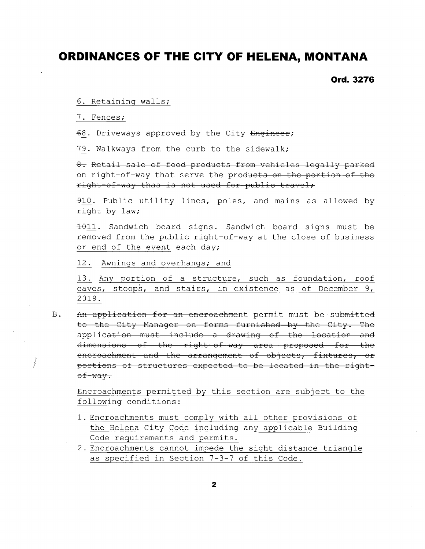**Ord. 3276** 

6. Retaining walls;

7. Fences;

 $\tilde{\vec{r}}$ 

68. Driveways approved by the City Engineer;

79. Walkways from the curb to the sidewalk;

8. Retail sale of food products from vehicles legally parked on right-of-way that serve the products on the portion of the right-of-way thas is not used for public travel;

910. Public utility lines, poles, and mains as allowed by right by law;

4011. Sandwich board signs. Sandwich board signs must be removed from the public right-of-way at the close of business or end of the event each day;

12. Awnings and overhangs; and

13. Any portion of a structure, such as foundation, roof eaves, stoops, and stairs, in existence as of December 9, 2019.

 $\, {\bf B}$  . An application for an encroachment permit must be submitted to the City Manager on forms furnished by the City. The application must include a drawing of the location and dimensions of the right-of-way area proposed for the encroachment and the arrangement of objects, fixtures, or portions of structures expected to be located in the rightof-way.

Encroachments permitted by this section are subject to the following conditions:

- 1. Encroachments must comply with all other provisions of the Helena City Code including any applicable Building Code requirements and permits.
- 2. Encroachments cannot impede the sight distance triangle as specified in Section 7-3-7 of this Code.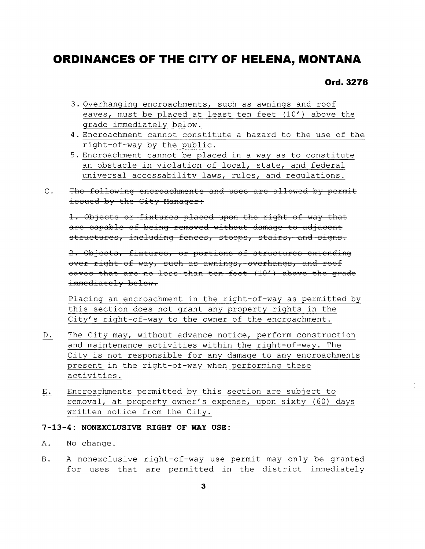Ord. 3276

- 3. Overhanging encroachments, such as awnings and roof eaves, must be placed at least ten feet (10') above the grade immediately below.
- 4. Encroachment cannot constitute a hazard to the use of the right-of-way by the public.
- 5. Encroachment cannot be placed in a way as to constitute an obstacle in violation of local, state, and federal universal accessability laws, rules, and requlations.
- The following encroachments and uses are allowed by permit  $C_{\bullet}$ issued by the City Manager:

1. Objects or fixtures placed upon the right of way that are capable of being removed without damage to adjacent structures, including fences, stoops, stairs, and signs.

2. Objects, fixtures, or portions of structures extending over right of way, such as awnings, overhangs, and roof eaves that are no less than ten feet (10') above the grade immediately below.

Placing an encroachment in the right-of-way as permitted by this section does not grant any property rights in the City's right-of-way to the owner of the encroachment.

- The City may, without advance notice, perform construction D. and maintenance activities within the right-of-way. The City is not responsible for any damage to any encroachments present in the right-of-way when performing these activities.
- Encroachments permitted by this section are subject to  $E_{\star}$ removal, at property owner's expense, upon sixty (60) days written notice from the City.

### 7-13-4: NONEXCLUSIVE RIGHT OF WAY USE:

- Α. No change.
- A nonexclusive right-of-way use permit may only be granted  $B$ for uses that are permitted in the district immediately